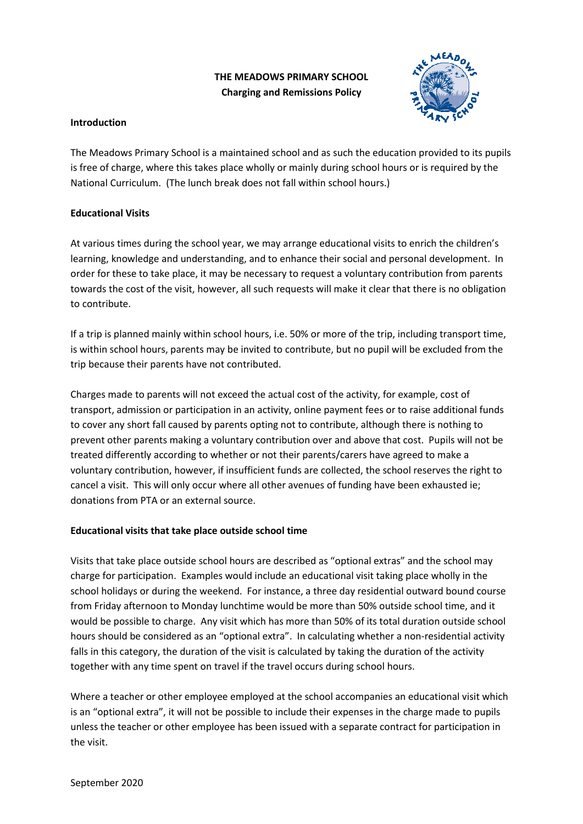# **THE MEADOWS PRIMARY SCHOOL Charging and Remissions Policy**



## **Introduction**

The Meadows Primary School is a maintained school and as such the education provided to its pupils is free of charge, where this takes place wholly or mainly during school hours or is required by the National Curriculum. (The lunch break does not fall within school hours.)

# **Educational Visits**

At various times during the school year, we may arrange educational visits to enrich the children's learning, knowledge and understanding, and to enhance their social and personal development. In order for these to take place, it may be necessary to request a voluntary contribution from parents towards the cost of the visit, however, all such requests will make it clear that there is no obligation to contribute.

If a trip is planned mainly within school hours, i.e. 50% or more of the trip, including transport time, is within school hours, parents may be invited to contribute, but no pupil will be excluded from the trip because their parents have not contributed.

Charges made to parents will not exceed the actual cost of the activity, for example, cost of transport, admission or participation in an activity, online payment fees or to raise additional funds to cover any short fall caused by parents opting not to contribute, although there is nothing to prevent other parents making a voluntary contribution over and above that cost. Pupils will not be treated differently according to whether or not their parents/carers have agreed to make a voluntary contribution, however, if insufficient funds are collected, the school reserves the right to cancel a visit. This will only occur where all other avenues of funding have been exhausted ie; donations from PTA or an external source.

# **Educational visits that take place outside school time**

Visits that take place outside school hours are described as "optional extras" and the school may charge for participation. Examples would include an educational visit taking place wholly in the school holidays or during the weekend. For instance, a three day residential outward bound course from Friday afternoon to Monday lunchtime would be more than 50% outside school time, and it would be possible to charge. Any visit which has more than 50% of its total duration outside school hours should be considered as an "optional extra". In calculating whether a non-residential activity falls in this category, the duration of the visit is calculated by taking the duration of the activity together with any time spent on travel if the travel occurs during school hours.

Where a teacher or other employee employed at the school accompanies an educational visit which is an "optional extra", it will not be possible to include their expenses in the charge made to pupils unless the teacher or other employee has been issued with a separate contract for participation in the visit.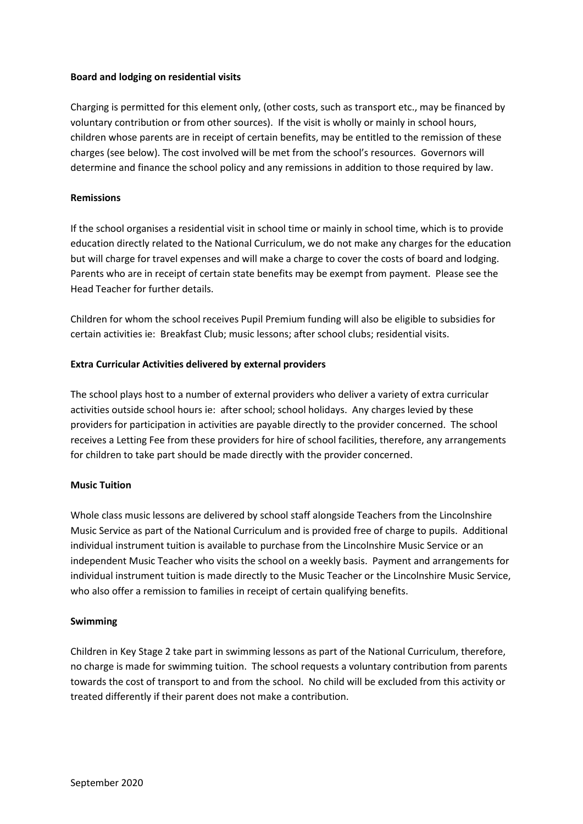#### **Board and lodging on residential visits**

Charging is permitted for this element only, (other costs, such as transport etc., may be financed by voluntary contribution or from other sources). If the visit is wholly or mainly in school hours, children whose parents are in receipt of certain benefits, may be entitled to the remission of these charges (see below). The cost involved will be met from the school's resources. Governors will determine and finance the school policy and any remissions in addition to those required by law.

### **Remissions**

If the school organises a residential visit in school time or mainly in school time, which is to provide education directly related to the National Curriculum, we do not make any charges for the education but will charge for travel expenses and will make a charge to cover the costs of board and lodging. Parents who are in receipt of certain state benefits may be exempt from payment. Please see the Head Teacher for further details.

Children for whom the school receives Pupil Premium funding will also be eligible to subsidies for certain activities ie: Breakfast Club; music lessons; after school clubs; residential visits.

### **Extra Curricular Activities delivered by external providers**

The school plays host to a number of external providers who deliver a variety of extra curricular activities outside school hours ie: after school; school holidays. Any charges levied by these providers for participation in activities are payable directly to the provider concerned. The school receives a Letting Fee from these providers for hire of school facilities, therefore, any arrangements for children to take part should be made directly with the provider concerned.

#### **Music Tuition**

Whole class music lessons are delivered by school staff alongside Teachers from the Lincolnshire Music Service as part of the National Curriculum and is provided free of charge to pupils. Additional individual instrument tuition is available to purchase from the Lincolnshire Music Service or an independent Music Teacher who visits the school on a weekly basis. Payment and arrangements for individual instrument tuition is made directly to the Music Teacher or the Lincolnshire Music Service, who also offer a remission to families in receipt of certain qualifying benefits.

#### **Swimming**

Children in Key Stage 2 take part in swimming lessons as part of the National Curriculum, therefore, no charge is made for swimming tuition. The school requests a voluntary contribution from parents towards the cost of transport to and from the school. No child will be excluded from this activity or treated differently if their parent does not make a contribution.